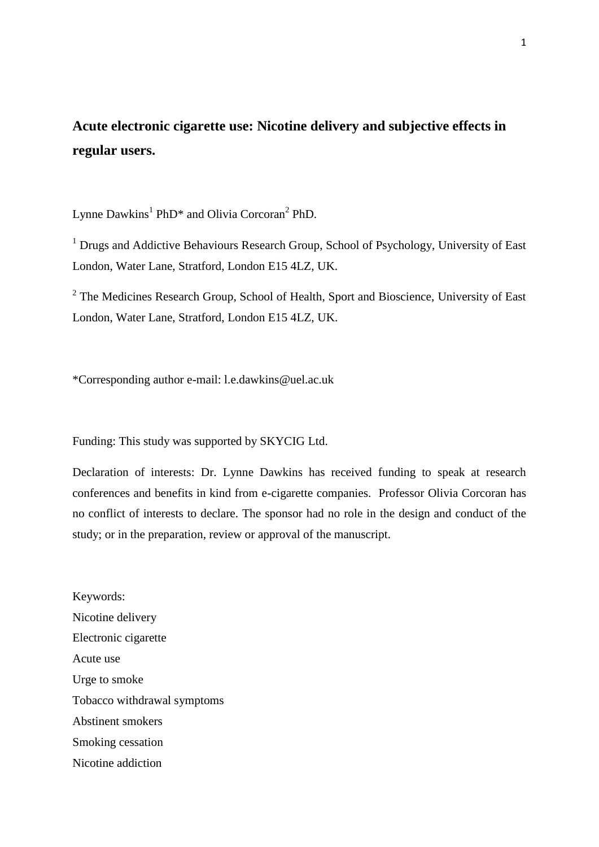# **Acute electronic cigarette use: Nicotine delivery and subjective effects in regular users.**

Lynne Dawkins<sup>1</sup> PhD<sup>\*</sup> and Olivia Corcoran<sup>2</sup> PhD.

<sup>1</sup> Drugs and Addictive Behaviours Research Group, School of Psychology, University of East London, Water Lane, Stratford, London E15 4LZ, UK.

<sup>2</sup> The Medicines Research Group, School of Health, Sport and Bioscience, University of East London, Water Lane, Stratford, London E15 4LZ, UK.

\*Corresponding author e-mail: l.e.dawkins@uel.ac.uk

Funding: This study was supported by SKYCIG Ltd.

Declaration of interests: Dr. Lynne Dawkins has received funding to speak at research conferences and benefits in kind from e-cigarette companies. Professor Olivia Corcoran has no conflict of interests to declare. The sponsor had no role in the design and conduct of the study; or in the preparation, review or approval of the manuscript.

Keywords: Nicotine delivery Electronic cigarette Acute use Urge to smoke Tobacco withdrawal symptoms Abstinent smokers Smoking cessation Nicotine addiction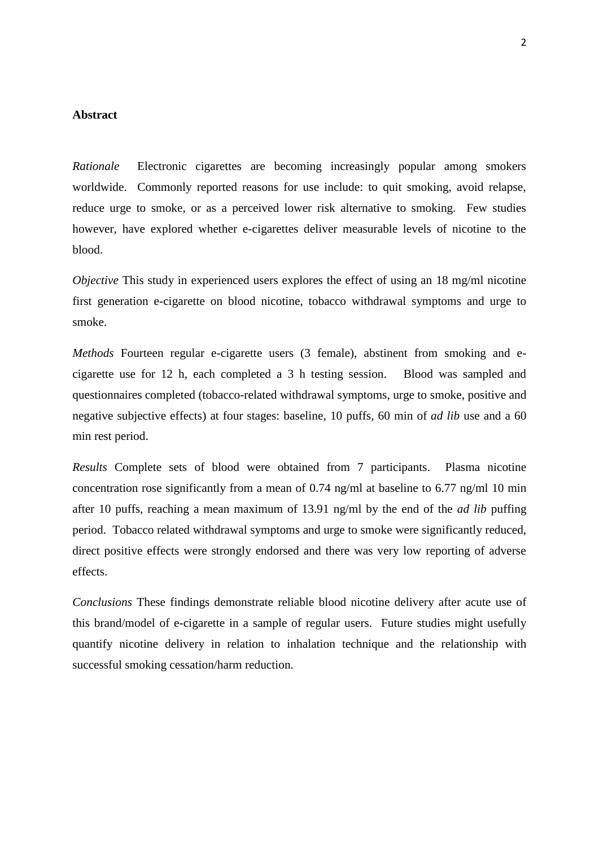#### **Abstract**

*Rationale* Electronic cigarettes are becoming increasingly popular among smokers worldwide. Commonly reported reasons for use include: to quit smoking, avoid relapse, reduce urge to smoke, or as a perceived lower risk alternative to smoking. Few studies however, have explored whether e-cigarettes deliver measurable levels of nicotine to the blood.

*Objective* This study in experienced users explores the effect of using an 18 mg/ml nicotine first generation e-cigarette on blood nicotine, tobacco withdrawal symptoms and urge to smoke.

*Methods* Fourteen regular e-cigarette users (3 female), abstinent from smoking and ecigarette use for 12 h, each completed a 3 h testing session. Blood was sampled and questionnaires completed (tobacco-related withdrawal symptoms, urge to smoke, positive and negative subjective effects) at four stages: baseline, 10 puffs, 60 min of *ad lib* use and a 60 min rest period.

*Results* Complete sets of blood were obtained from 7 participants. Plasma nicotine concentration rose significantly from a mean of 0.74 ng/ml at baseline to 6.77 ng/ml 10 min after 10 puffs, reaching a mean maximum of 13.91 ng/ml by the end of the *ad lib* puffing period. Tobacco related withdrawal symptoms and urge to smoke were significantly reduced, direct positive effects were strongly endorsed and there was very low reporting of adverse effects.

*Conclusions* These findings demonstrate reliable blood nicotine delivery after acute use of this brand/model of e-cigarette in a sample of regular users. Future studies might usefully quantify nicotine delivery in relation to inhalation technique and the relationship with successful smoking cessation/harm reduction.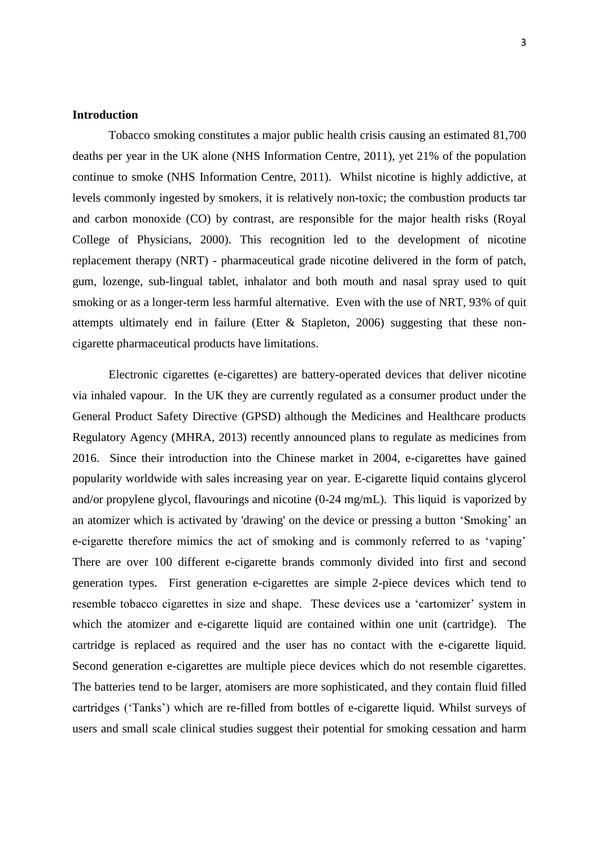# **Introduction**

Tobacco smoking constitutes a major public health crisis causing an estimated 81,700 deaths per year in the UK alone (NHS Information Centre, 2011), yet 21% of the population continue to smoke (NHS Information Centre, 2011). Whilst nicotine is highly addictive, at levels commonly ingested by smokers, it is relatively non-toxic; the combustion products tar and carbon monoxide (CO) by contrast, are responsible for the major health risks (Royal College of Physicians, 2000). This recognition led to the development of nicotine replacement therapy (NRT) - pharmaceutical grade nicotine delivered in the form of patch, gum, lozenge, sub-lingual tablet, inhalator and both mouth and nasal spray used to quit smoking or as a longer-term less harmful alternative. Even with the use of NRT, 93% of quit attempts ultimately end in failure (Etter & Stapleton, 2006) suggesting that these noncigarette pharmaceutical products have limitations.

Electronic cigarettes (e-cigarettes) are battery-operated devices that deliver nicotine via inhaled vapour. In the UK they are currently regulated as a consumer product under the General Product Safety Directive (GPSD) although the Medicines and Healthcare products Regulatory Agency (MHRA, 2013) recently announced plans to regulate as medicines from 2016. Since their introduction into the Chinese market in 2004, e-cigarettes have gained popularity worldwide with sales increasing year on year. E-cigarette liquid contains glycerol and/or propylene glycol, flavourings and nicotine (0-24 mg/mL). This liquid is vaporized by an atomizer which is activated by 'drawing' on the device or pressing a button 'Smoking' an e-cigarette therefore mimics the act of smoking and is commonly referred to as 'vaping' There are over 100 different e-cigarette brands commonly divided into first and second generation types. First generation e-cigarettes are simple 2-piece devices which tend to resemble tobacco cigarettes in size and shape. These devices use a 'cartomizer' system in which the atomizer and e-cigarette liquid are contained within one unit (cartridge). The cartridge is replaced as required and the user has no contact with the e-cigarette liquid. Second generation e-cigarettes are multiple piece devices which do not resemble cigarettes. The batteries tend to be larger, atomisers are more sophisticated, and they contain fluid filled cartridges ('Tanks') which are re-filled from bottles of e-cigarette liquid. Whilst surveys of users and small scale clinical studies suggest their potential for smoking cessation and harm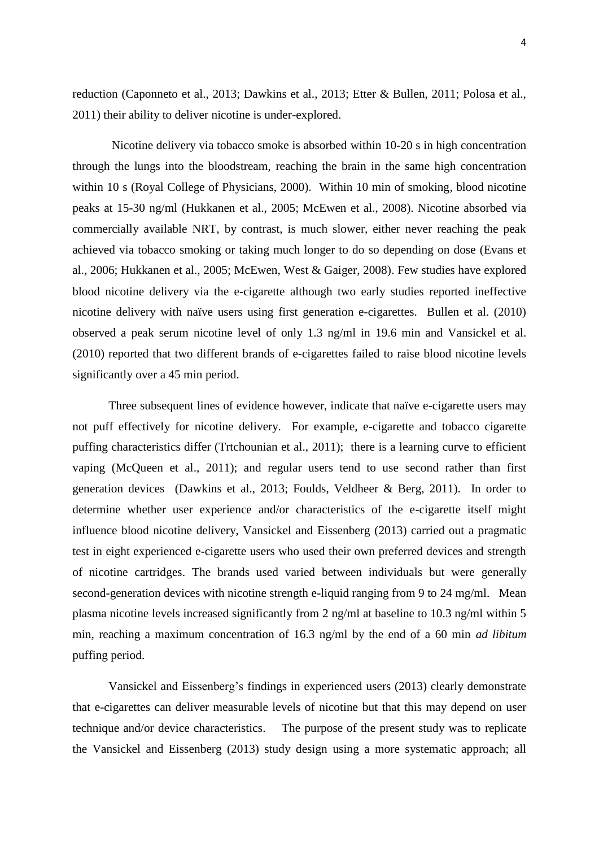reduction (Caponneto et al., 2013; Dawkins et al., 2013; Etter & Bullen, 2011; Polosa et al., 2011) their ability to deliver nicotine is under-explored.

Nicotine delivery via tobacco smoke is absorbed within 10-20 s in high concentration through the lungs into the bloodstream, reaching the brain in the same high concentration within 10 s (Royal College of Physicians, 2000). Within 10 min of smoking, blood nicotine peaks at 15-30 ng/ml (Hukkanen et al., 2005; McEwen et al., 2008). Nicotine absorbed via commercially available NRT, by contrast, is much slower, either never reaching the peak achieved via tobacco smoking or taking much longer to do so depending on dose (Evans et al., 2006; Hukkanen et al., 2005; McEwen, West & Gaiger, 2008). Few studies have explored blood nicotine delivery via the e-cigarette although two early studies reported ineffective nicotine delivery with naïve users using first generation e-cigarettes. Bullen et al. (2010) observed a peak serum nicotine level of only 1.3 ng/ml in 19.6 min and Vansickel et al. (2010) reported that two different brands of e-cigarettes failed to raise blood nicotine levels significantly over a 45 min period.

Three subsequent lines of evidence however, indicate that naïve e-cigarette users may not puff effectively for nicotine delivery. For example, e-cigarette and tobacco cigarette puffing characteristics differ (Trtchounian et al., 2011); there is a learning curve to efficient vaping (McQueen et al., 2011); and regular users tend to use second rather than first generation devices (Dawkins et al., 2013; Foulds, Veldheer & Berg, 2011). In order to determine whether user experience and/or characteristics of the e-cigarette itself might influence blood nicotine delivery, Vansickel and Eissenberg (2013) carried out a pragmatic test in eight experienced e-cigarette users who used their own preferred devices and strength of nicotine cartridges. The brands used varied between individuals but were generally second-generation devices with nicotine strength e-liquid ranging from 9 to 24 mg/ml. Mean plasma nicotine levels increased significantly from 2 ng/ml at baseline to 10.3 ng/ml within 5 min, reaching a maximum concentration of 16.3 ng/ml by the end of a 60 min *ad libitum*  puffing period.

Vansickel and Eissenberg's findings in experienced users (2013) clearly demonstrate that e-cigarettes can deliver measurable levels of nicotine but that this may depend on user technique and/or device characteristics. The purpose of the present study was to replicate the Vansickel and Eissenberg (2013) study design using a more systematic approach; all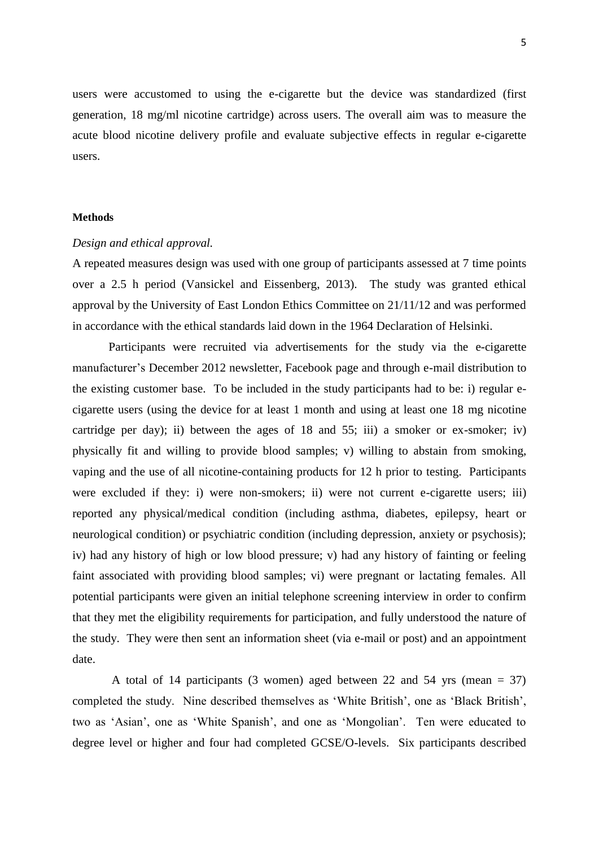users were accustomed to using the e-cigarette but the device was standardized (first generation, 18 mg/ml nicotine cartridge) across users. The overall aim was to measure the acute blood nicotine delivery profile and evaluate subjective effects in regular e-cigarette users.

#### **Methods**

#### *Design and ethical approval.*

A repeated measures design was used with one group of participants assessed at 7 time points over a 2.5 h period (Vansickel and Eissenberg, 2013). The study was granted ethical approval by the University of East London Ethics Committee on 21/11/12 and was performed in accordance with the ethical standards laid down in the 1964 Declaration of Helsinki.

Participants were recruited via advertisements for the study via the e-cigarette manufacturer's December 2012 newsletter, Facebook page and through e-mail distribution to the existing customer base. To be included in the study participants had to be: i) regular ecigarette users (using the device for at least 1 month and using at least one 18 mg nicotine cartridge per day); ii) between the ages of 18 and 55; iii) a smoker or ex-smoker; iv) physically fit and willing to provide blood samples; v) willing to abstain from smoking, vaping and the use of all nicotine-containing products for 12 h prior to testing. Participants were excluded if they: i) were non-smokers; ii) were not current e-cigarette users; iii) reported any physical/medical condition (including asthma, diabetes, epilepsy, heart or neurological condition) or psychiatric condition (including depression, anxiety or psychosis); iv) had any history of high or low blood pressure; v) had any history of fainting or feeling faint associated with providing blood samples; vi) were pregnant or lactating females. All potential participants were given an initial telephone screening interview in order to confirm that they met the eligibility requirements for participation, and fully understood the nature of the study. They were then sent an information sheet (via e-mail or post) and an appointment date.

A total of 14 participants (3 women) aged between 22 and 54 yrs (mean = 37) completed the study. Nine described themselves as 'White British', one as 'Black British', two as 'Asian', one as 'White Spanish', and one as 'Mongolian'. Ten were educated to degree level or higher and four had completed GCSE/O-levels. Six participants described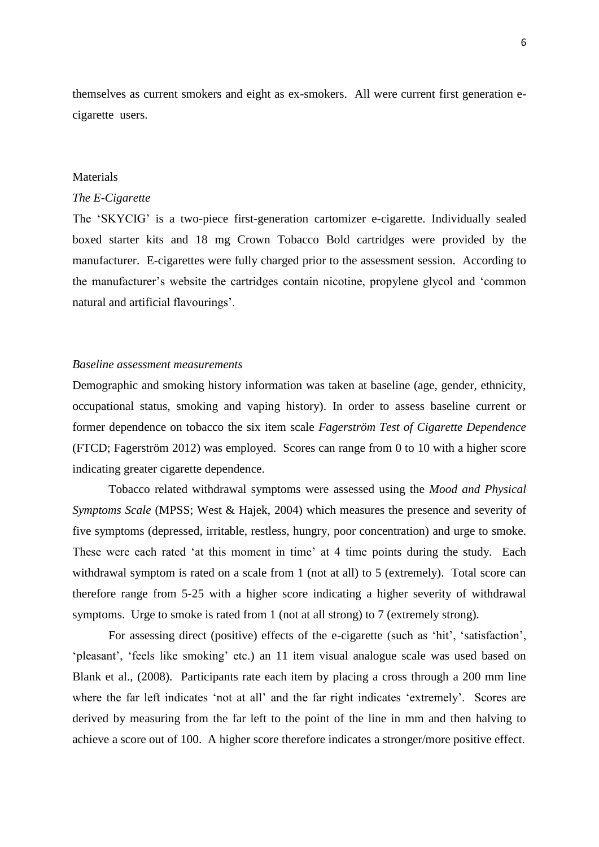themselves as current smokers and eight as ex-smokers. All were current first generation ecigarette users.

#### **Materials**

#### *The E-Cigarette*

The 'SKYCIG' is a two-piece first-generation cartomizer e-cigarette. Individually sealed boxed starter kits and 18 mg Crown Tobacco Bold cartridges were provided by the manufacturer. E-cigarettes were fully charged prior to the assessment session. According to the manufacturer's website the cartridges contain nicotine, propylene glycol and 'common natural and artificial flavourings'.

#### *Baseline assessment measurements*

Demographic and smoking history information was taken at baseline (age, gender, ethnicity, occupational status, smoking and vaping history). In order to assess baseline current or former dependence on tobacco the six item scale *Fagerström Test of Cigarette Dependence* (FTCD; Fagerström 2012) was employed. Scores can range from 0 to 10 with a higher score indicating greater cigarette dependence.

Tobacco related withdrawal symptoms were assessed using the *Mood and Physical Symptoms Scale* (MPSS; West & Hajek, 2004) which measures the presence and severity of five symptoms (depressed, irritable, restless, hungry, poor concentration) and urge to smoke. These were each rated 'at this moment in time' at 4 time points during the study. Each withdrawal symptom is rated on a scale from 1 (not at all) to 5 (extremely). Total score can therefore range from 5-25 with a higher score indicating a higher severity of withdrawal symptoms. Urge to smoke is rated from 1 (not at all strong) to 7 (extremely strong).

For assessing direct (positive) effects of the e-cigarette (such as 'hit', 'satisfaction', 'pleasant', 'feels like smoking' etc.) an 11 item visual analogue scale was used based on Blank et al., (2008). Participants rate each item by placing a cross through a 200 mm line where the far left indicates 'not at all' and the far right indicates 'extremely'. Scores are derived by measuring from the far left to the point of the line in mm and then halving to achieve a score out of 100. A higher score therefore indicates a stronger/more positive effect.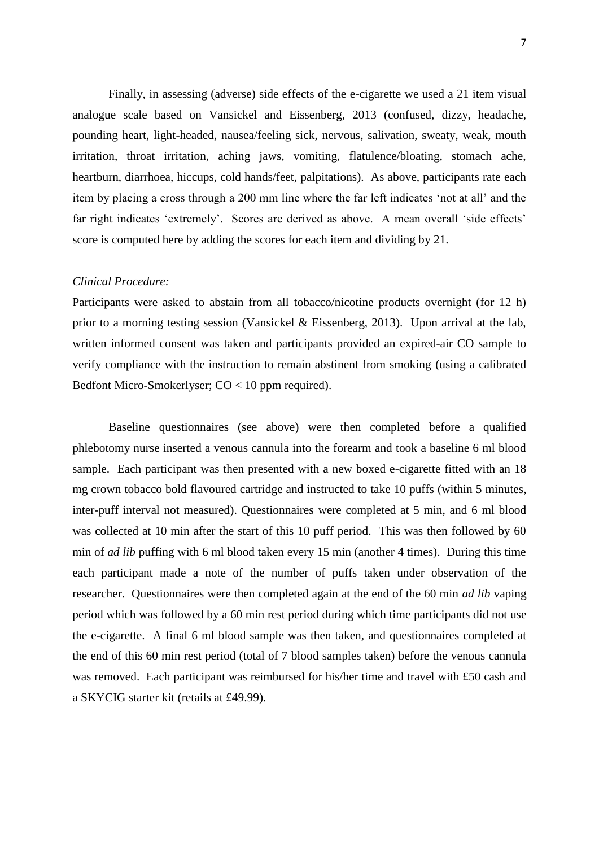Finally, in assessing (adverse) side effects of the e-cigarette we used a 21 item visual analogue scale based on Vansickel and Eissenberg, 2013 (confused, dizzy, headache, pounding heart, light-headed, nausea/feeling sick, nervous, salivation, sweaty, weak, mouth irritation, throat irritation, aching jaws, vomiting, flatulence/bloating, stomach ache, heartburn, diarrhoea, hiccups, cold hands/feet, palpitations). As above, participants rate each item by placing a cross through a 200 mm line where the far left indicates 'not at all' and the far right indicates 'extremely'. Scores are derived as above. A mean overall 'side effects' score is computed here by adding the scores for each item and dividing by 21.

## *Clinical Procedure:*

Participants were asked to abstain from all tobacco/nicotine products overnight (for 12 h) prior to a morning testing session (Vansickel & Eissenberg, 2013). Upon arrival at the lab, written informed consent was taken and participants provided an expired-air CO sample to verify compliance with the instruction to remain abstinent from smoking (using a calibrated Bedfont Micro-Smokerlyser; CO < 10 ppm required).

Baseline questionnaires (see above) were then completed before a qualified phlebotomy nurse inserted a venous cannula into the forearm and took a baseline 6 ml blood sample. Each participant was then presented with a new boxed e-cigarette fitted with an 18 mg crown tobacco bold flavoured cartridge and instructed to take 10 puffs (within 5 minutes, inter-puff interval not measured). Questionnaires were completed at 5 min, and 6 ml blood was collected at 10 min after the start of this 10 puff period. This was then followed by 60 min of *ad lib* puffing with 6 ml blood taken every 15 min (another 4 times). During this time each participant made a note of the number of puffs taken under observation of the researcher. Questionnaires were then completed again at the end of the 60 min *ad lib* vaping period which was followed by a 60 min rest period during which time participants did not use the e-cigarette. A final 6 ml blood sample was then taken, and questionnaires completed at the end of this 60 min rest period (total of 7 blood samples taken) before the venous cannula was removed. Each participant was reimbursed for his/her time and travel with £50 cash and a SKYCIG starter kit (retails at £49.99).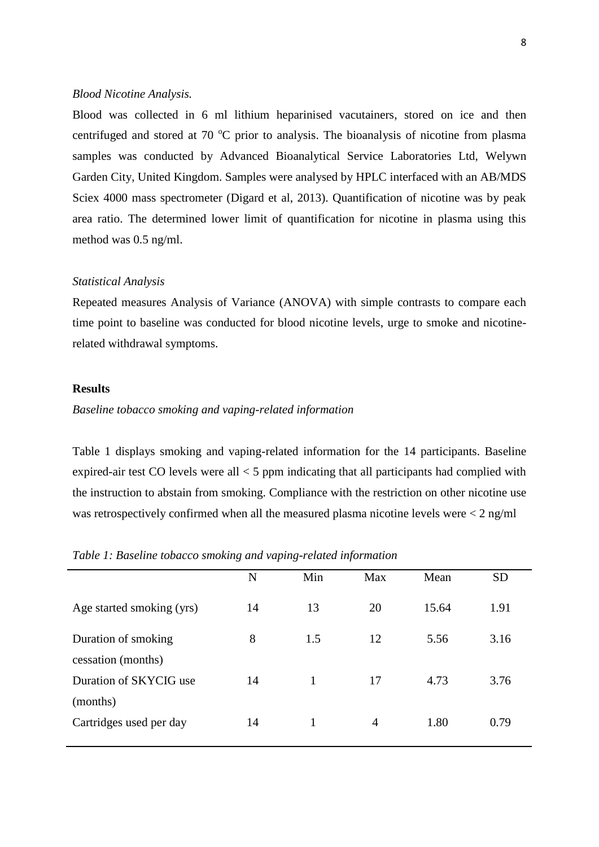#### *Blood Nicotine Analysis.*

Blood was collected in 6 ml lithium heparinised vacutainers, stored on ice and then centrifuged and stored at 70  $\degree$ C prior to analysis. The bioanalysis of nicotine from plasma samples was conducted by Advanced Bioanalytical Service Laboratories Ltd, Welywn Garden City, United Kingdom. Samples were analysed by HPLC interfaced with an AB/MDS Sciex 4000 mass spectrometer (Digard et al, 2013). Quantification of nicotine was by peak area ratio. The determined lower limit of quantification for nicotine in plasma using this method was 0.5 ng/ml.

#### *Statistical Analysis*

Repeated measures Analysis of Variance (ANOVA) with simple contrasts to compare each time point to baseline was conducted for blood nicotine levels, urge to smoke and nicotinerelated withdrawal symptoms.

#### **Results**

## *Baseline tobacco smoking and vaping-related information*

Table 1 displays smoking and vaping-related information for the 14 participants. Baseline expired-air test CO levels were all < 5 ppm indicating that all participants had complied with the instruction to abstain from smoking. Compliance with the restriction on other nicotine use was retrospectively confirmed when all the measured plasma nicotine levels were  $\leq 2$  ng/ml

|                                           | N  | Min | Max | Mean  | <b>SD</b> |
|-------------------------------------------|----|-----|-----|-------|-----------|
| Age started smoking (yrs)                 | 14 | 13  | 20  | 15.64 | 1.91      |
| Duration of smoking<br>cessation (months) | 8  | 1.5 | 12  | 5.56  | 3.16      |
| Duration of SKYCIG use                    | 14 | 1   | 17  | 4.73  | 3.76      |
| (months)                                  |    |     |     |       |           |
| Cartridges used per day                   | 14 |     | 4   | 1.80  | 0.79      |

*Table 1: Baseline tobacco smoking and vaping-related information*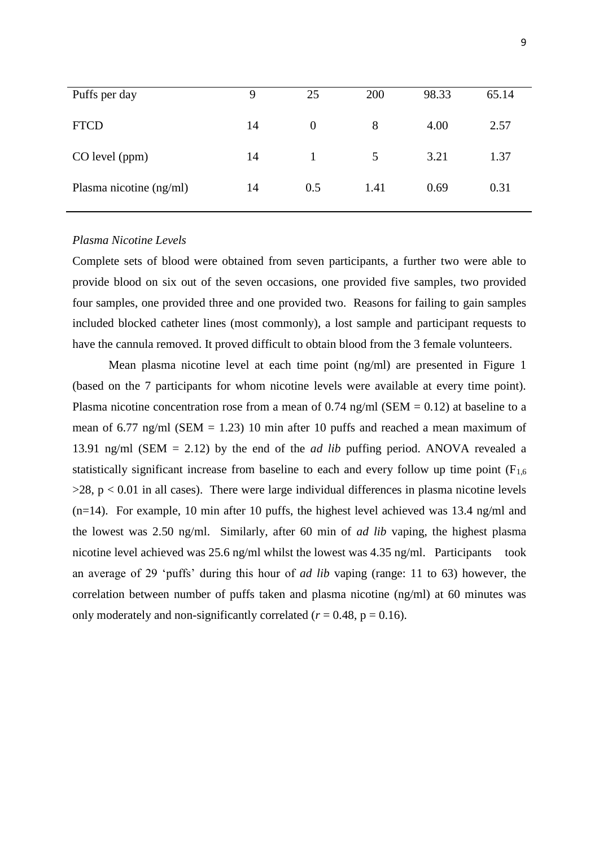| Puffs per day           | 9  | 25       | 200  | 98.33 | 65.14 |
|-------------------------|----|----------|------|-------|-------|
| <b>FTCD</b>             | 14 | $\theta$ | 8    | 4.00  | 2.57  |
| CO level (ppm)          | 14 |          | 5    | 3.21  | 1.37  |
| Plasma nicotine (ng/ml) | 14 | 0.5      | 1.41 | 0.69  | 0.31  |

#### *Plasma Nicotine Levels*

Complete sets of blood were obtained from seven participants, a further two were able to provide blood on six out of the seven occasions, one provided five samples, two provided four samples, one provided three and one provided two. Reasons for failing to gain samples included blocked catheter lines (most commonly), a lost sample and participant requests to have the cannula removed. It proved difficult to obtain blood from the 3 female volunteers.

Mean plasma nicotine level at each time point (ng/ml) are presented in Figure 1 (based on the 7 participants for whom nicotine levels were available at every time point). Plasma nicotine concentration rose from a mean of  $0.74$  ng/ml (SEM = 0.12) at baseline to a mean of 6.77 ng/ml (SEM  $= 1.23$ ) 10 min after 10 puffs and reached a mean maximum of 13.91 ng/ml (SEM = 2.12) by the end of the *ad lib* puffing period. ANOVA revealed a statistically significant increase from baseline to each and every follow up time point  $(F_{1,6})$  $>28$ ,  $p < 0.01$  in all cases). There were large individual differences in plasma nicotine levels (n=14). For example, 10 min after 10 puffs, the highest level achieved was 13.4 ng/ml and the lowest was 2.50 ng/ml. Similarly, after 60 min of *ad lib* vaping, the highest plasma nicotine level achieved was 25.6 ng/ml whilst the lowest was 4.35 ng/ml. Participants took an average of 29 'puffs' during this hour of *ad lib* vaping (range: 11 to 63) however, the correlation between number of puffs taken and plasma nicotine (ng/ml) at 60 minutes was only moderately and non-significantly correlated  $(r = 0.48, p = 0.16)$ .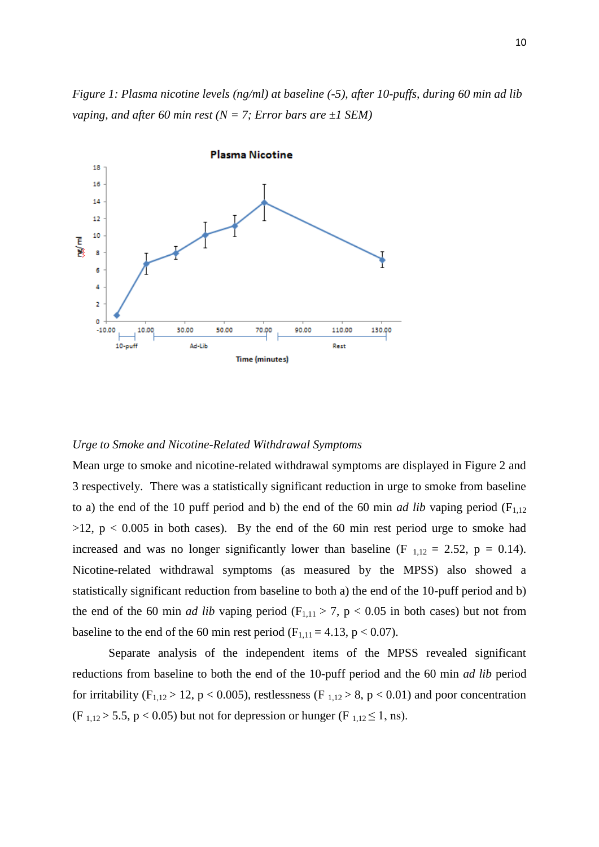*Figure 1: Plasma nicotine levels (ng/ml) at baseline (-5), after 10-puffs, during 60 min ad lib vaping, and after 60 min rest (N = 7; Error bars are ±1 SEM)*



#### *Urge to Smoke and Nicotine-Related Withdrawal Symptoms*

Mean urge to smoke and nicotine-related withdrawal symptoms are displayed in Figure 2 and 3 respectively. There was a statistically significant reduction in urge to smoke from baseline to a) the end of the 10 puff period and b) the end of the 60 min *ad lib* vaping period ( $F_{1,12}$ )  $>12$ ,  $p < 0.005$  in both cases). By the end of the 60 min rest period urge to smoke had increased and was no longer significantly lower than baseline (F  $_{1,12} = 2.52$ , p = 0.14). Nicotine-related withdrawal symptoms (as measured by the MPSS) also showed a statistically significant reduction from baseline to both a) the end of the 10-puff period and b) the end of the 60 min *ad lib* vaping period ( $F_{1,11} > 7$ ,  $p < 0.05$  in both cases) but not from baseline to the end of the 60 min rest period ( $F_{1,11} = 4.13$ , p < 0.07).

Separate analysis of the independent items of the MPSS revealed significant reductions from baseline to both the end of the 10-puff period and the 60 min *ad lib* period for irritability ( $F_{1,12} > 12$ ,  $p < 0.005$ ), restlessness ( $F_{1,12} > 8$ ,  $p < 0.01$ ) and poor concentration (F<sub>1,12</sub> > 5.5, p < 0.05) but not for depression or hunger (F<sub>1,12</sub>  $\leq$  1, ns).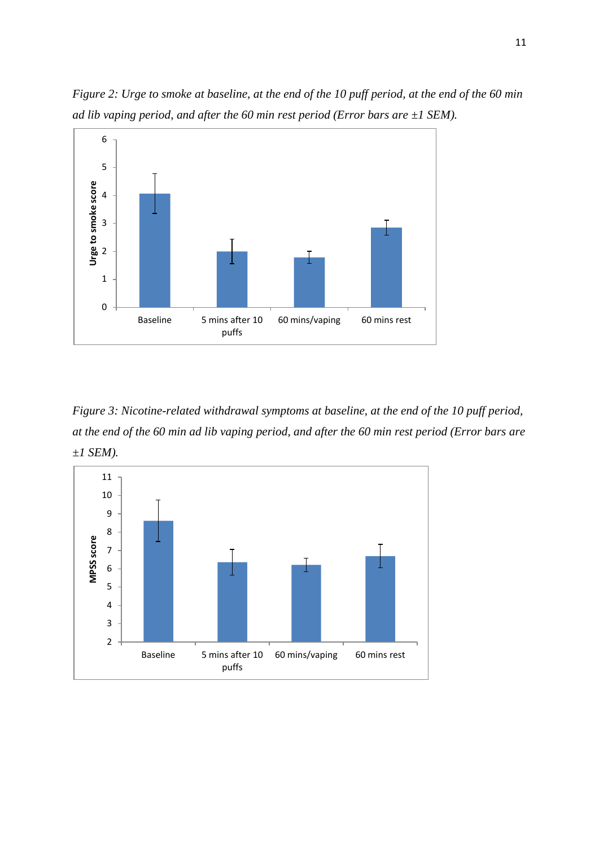

*Figure 2: Urge to smoke at baseline, at the end of the 10 puff period, at the end of the 60 min ad lib vaping period, and after the 60 min rest period (Error bars are ±1 SEM).*

*Figure 3: Nicotine-related withdrawal symptoms at baseline, at the end of the 10 puff period, at the end of the 60 min ad lib vaping period, and after the 60 min rest period (Error bars are ±1 SEM).* 

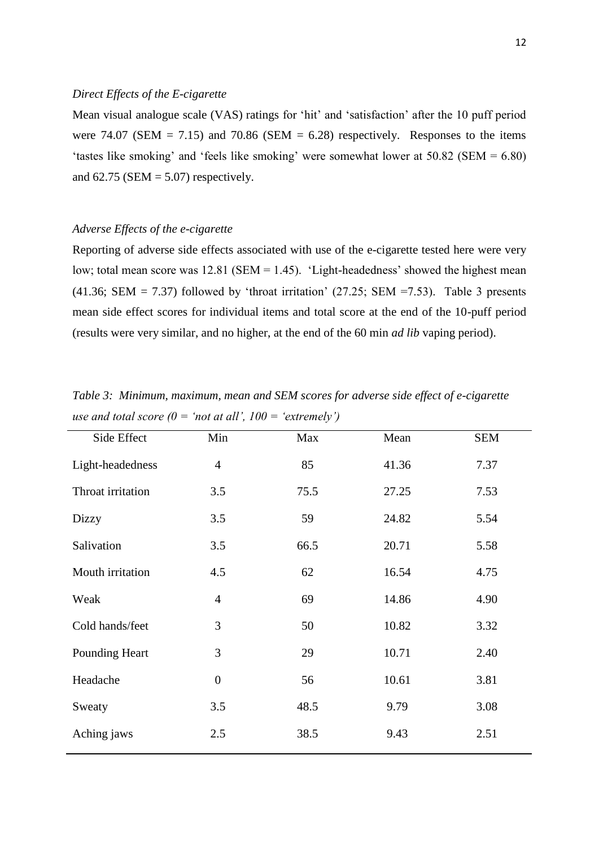# *Direct Effects of the E-cigarette*

Mean visual analogue scale (VAS) ratings for 'hit' and 'satisfaction' after the 10 puff period were 74.07 (SEM = 7.15) and 70.86 (SEM = 6.28) respectively. Responses to the items 'tastes like smoking' and 'feels like smoking' were somewhat lower at 50.82 (SEM = 6.80) and  $62.75$  (SEM = 5.07) respectively.

#### *Adverse Effects of the e-cigarette*

Reporting of adverse side effects associated with use of the e-cigarette tested here were very low; total mean score was 12.81 (SEM = 1.45). 'Light-headedness' showed the highest mean (41.36; SEM = 7.37) followed by 'throat irritation' (27.25; SEM = 7.53). Table 3 presents mean side effect scores for individual items and total score at the end of the 10-puff period (results were very similar, and no higher, at the end of the 60 min *ad lib* vaping period).

| Side Effect       | Min              | Max  | Mean  | <b>SEM</b> |  |
|-------------------|------------------|------|-------|------------|--|
| Light-headedness  | $\overline{4}$   | 85   | 41.36 | 7.37       |  |
| Throat irritation | 3.5              | 75.5 | 27.25 | 7.53       |  |
| Dizzy             | 3.5              | 59   | 24.82 | 5.54       |  |
| Salivation        | 3.5              | 66.5 | 20.71 | 5.58       |  |
| Mouth irritation  | 4.5              | 62   | 16.54 | 4.75       |  |
| Weak              | $\overline{4}$   | 69   | 14.86 | 4.90       |  |
| Cold hands/feet   | 3                | 50   | 10.82 | 3.32       |  |
| Pounding Heart    | 3                | 29   | 10.71 | 2.40       |  |
| Headache          | $\boldsymbol{0}$ | 56   | 10.61 | 3.81       |  |
| Sweaty            | 3.5              | 48.5 | 9.79  | 3.08       |  |
| Aching jaws       | 2.5              | 38.5 | 9.43  | 2.51       |  |
|                   |                  |      |       |            |  |

*Table 3: Minimum, maximum, mean and SEM scores for adverse side effect of e-cigarette use and total score*  $(0 = 'not at all', 100 = 'extremely')$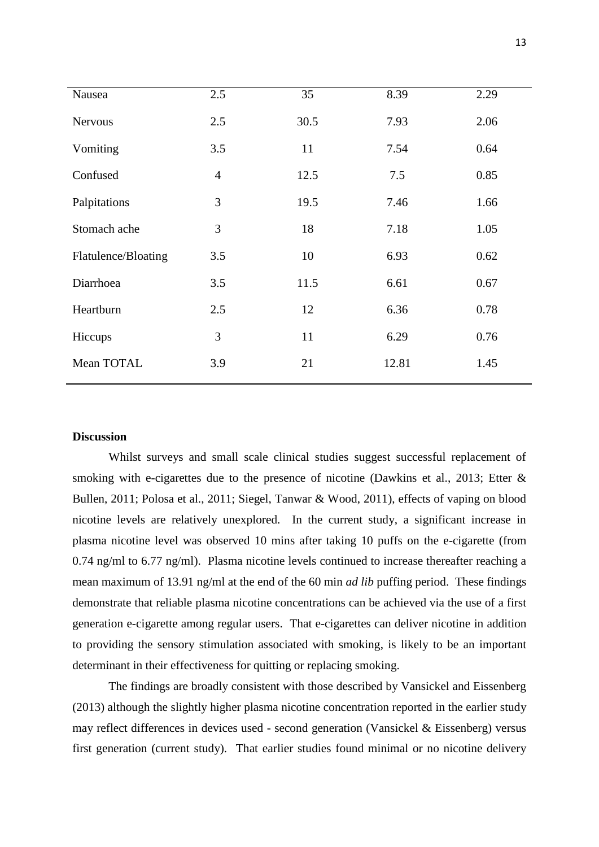| Nausea              | 2.5            | 35   | 8.39  | 2.29 |
|---------------------|----------------|------|-------|------|
| <b>Nervous</b>      | 2.5            | 30.5 | 7.93  | 2.06 |
| Vomiting            | 3.5            | 11   | 7.54  | 0.64 |
| Confused            | $\overline{4}$ | 12.5 | 7.5   | 0.85 |
| Palpitations        | 3              | 19.5 | 7.46  | 1.66 |
| Stomach ache        | 3              | 18   | 7.18  | 1.05 |
| Flatulence/Bloating | 3.5            | 10   | 6.93  | 0.62 |
| Diarrhoea           | 3.5            | 11.5 | 6.61  | 0.67 |
| Heartburn           | 2.5            | 12   | 6.36  | 0.78 |
| Hiccups             | 3              | 11   | 6.29  | 0.76 |
| Mean TOTAL          | 3.9            | 21   | 12.81 | 1.45 |
|                     |                |      |       |      |

# **Discussion**

Whilst surveys and small scale clinical studies suggest successful replacement of smoking with e-cigarettes due to the presence of nicotine (Dawkins et al., 2013; Etter & Bullen, 2011; Polosa et al., 2011; Siegel, Tanwar & Wood, 2011), effects of vaping on blood nicotine levels are relatively unexplored. In the current study, a significant increase in plasma nicotine level was observed 10 mins after taking 10 puffs on the e-cigarette (from 0.74 ng/ml to 6.77 ng/ml). Plasma nicotine levels continued to increase thereafter reaching a mean maximum of 13.91 ng/ml at the end of the 60 min *ad lib* puffing period. These findings demonstrate that reliable plasma nicotine concentrations can be achieved via the use of a first generation e-cigarette among regular users. That e-cigarettes can deliver nicotine in addition to providing the sensory stimulation associated with smoking, is likely to be an important determinant in their effectiveness for quitting or replacing smoking.

The findings are broadly consistent with those described by Vansickel and Eissenberg (2013) although the slightly higher plasma nicotine concentration reported in the earlier study may reflect differences in devices used - second generation (Vansickel & Eissenberg) versus first generation (current study). That earlier studies found minimal or no nicotine delivery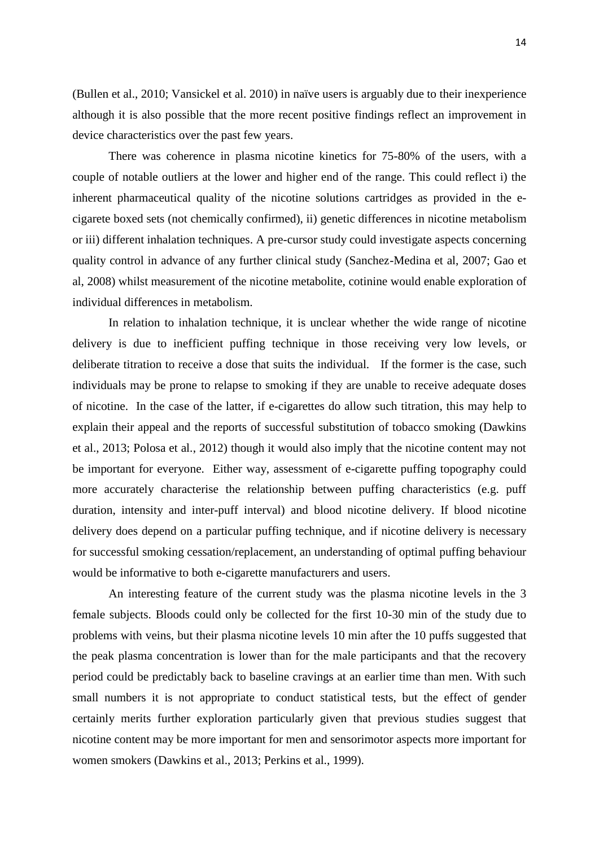(Bullen et al., 2010; Vansickel et al. 2010) in naïve users is arguably due to their inexperience although it is also possible that the more recent positive findings reflect an improvement in device characteristics over the past few years.

There was coherence in plasma nicotine kinetics for 75-80% of the users, with a couple of notable outliers at the lower and higher end of the range. This could reflect i) the inherent pharmaceutical quality of the nicotine solutions cartridges as provided in the ecigarete boxed sets (not chemically confirmed), ii) genetic differences in nicotine metabolism or iii) different inhalation techniques. A pre-cursor study could investigate aspects concerning quality control in advance of any further clinical study (Sanchez-Medina et al, 2007; Gao et al, 2008) whilst measurement of the nicotine metabolite, cotinine would enable exploration of individual differences in metabolism.

In relation to inhalation technique, it is unclear whether the wide range of nicotine delivery is due to inefficient puffing technique in those receiving very low levels, or deliberate titration to receive a dose that suits the individual. If the former is the case, such individuals may be prone to relapse to smoking if they are unable to receive adequate doses of nicotine. In the case of the latter, if e-cigarettes do allow such titration, this may help to explain their appeal and the reports of successful substitution of tobacco smoking (Dawkins et al., 2013; Polosa et al., 2012) though it would also imply that the nicotine content may not be important for everyone. Either way, assessment of e-cigarette puffing topography could more accurately characterise the relationship between puffing characteristics (e.g. puff duration, intensity and inter-puff interval) and blood nicotine delivery. If blood nicotine delivery does depend on a particular puffing technique, and if nicotine delivery is necessary for successful smoking cessation/replacement, an understanding of optimal puffing behaviour would be informative to both e-cigarette manufacturers and users.

An interesting feature of the current study was the plasma nicotine levels in the 3 female subjects. Bloods could only be collected for the first 10-30 min of the study due to problems with veins, but their plasma nicotine levels 10 min after the 10 puffs suggested that the peak plasma concentration is lower than for the male participants and that the recovery period could be predictably back to baseline cravings at an earlier time than men. With such small numbers it is not appropriate to conduct statistical tests, but the effect of gender certainly merits further exploration particularly given that previous studies suggest that nicotine content may be more important for men and sensorimotor aspects more important for women smokers (Dawkins et al., 2013; Perkins et al., 1999).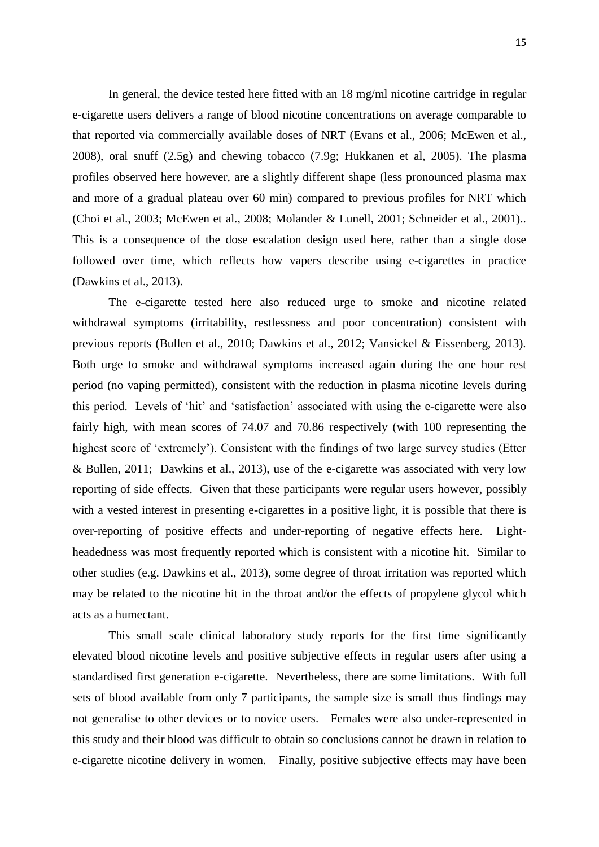In general, the device tested here fitted with an 18 mg/ml nicotine cartridge in regular e-cigarette users delivers a range of blood nicotine concentrations on average comparable to that reported via commercially available doses of NRT (Evans et al., 2006; McEwen et al., 2008), oral snuff (2.5g) and chewing tobacco (7.9g; Hukkanen et al, 2005). The plasma profiles observed here however, are a slightly different shape (less pronounced plasma max and more of a gradual plateau over 60 min) compared to previous profiles for NRT which (Choi et al., 2003; McEwen et al., 2008; Molander & Lunell, 2001; Schneider et al., 2001).. This is a consequence of the dose escalation design used here, rather than a single dose followed over time, which reflects how vapers describe using e-cigarettes in practice (Dawkins et al., 2013).

The e-cigarette tested here also reduced urge to smoke and nicotine related withdrawal symptoms (irritability, restlessness and poor concentration) consistent with previous reports (Bullen et al., 2010; Dawkins et al., 2012; Vansickel & Eissenberg, 2013). Both urge to smoke and withdrawal symptoms increased again during the one hour rest period (no vaping permitted), consistent with the reduction in plasma nicotine levels during this period. Levels of 'hit' and 'satisfaction' associated with using the e-cigarette were also fairly high, with mean scores of 74.07 and 70.86 respectively (with 100 representing the highest score of 'extremely'). Consistent with the findings of two large survey studies (Etter & Bullen, 2011; Dawkins et al., 2013), use of the e-cigarette was associated with very low reporting of side effects. Given that these participants were regular users however, possibly with a vested interest in presenting e-cigarettes in a positive light, it is possible that there is over-reporting of positive effects and under-reporting of negative effects here. Lightheadedness was most frequently reported which is consistent with a nicotine hit. Similar to other studies (e.g. Dawkins et al., 2013), some degree of throat irritation was reported which may be related to the nicotine hit in the throat and/or the effects of propylene glycol which acts as a humectant.

This small scale clinical laboratory study reports for the first time significantly elevated blood nicotine levels and positive subjective effects in regular users after using a standardised first generation e-cigarette. Nevertheless, there are some limitations. With full sets of blood available from only 7 participants, the sample size is small thus findings may not generalise to other devices or to novice users. Females were also under-represented in this study and their blood was difficult to obtain so conclusions cannot be drawn in relation to e-cigarette nicotine delivery in women. Finally, positive subjective effects may have been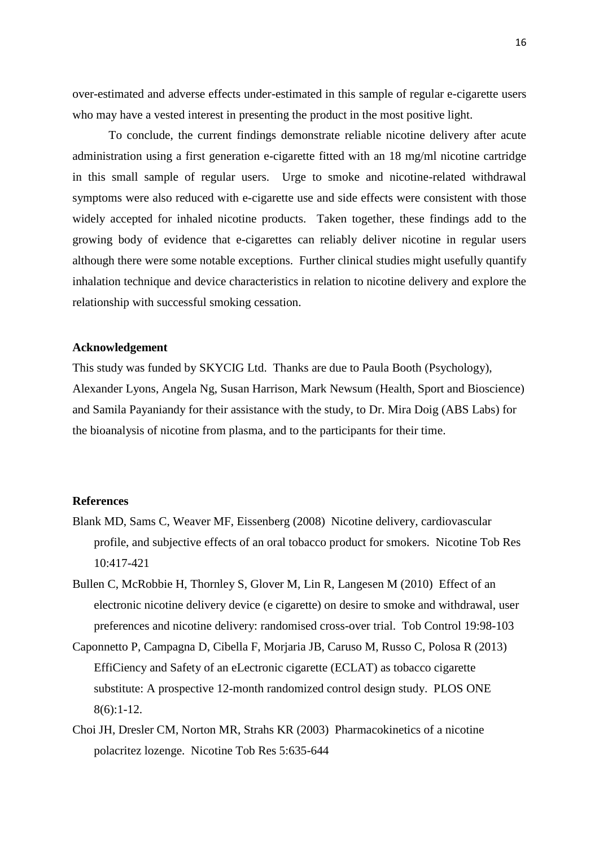over-estimated and adverse effects under-estimated in this sample of regular e-cigarette users who may have a vested interest in presenting the product in the most positive light.

To conclude, the current findings demonstrate reliable nicotine delivery after acute administration using a first generation e-cigarette fitted with an 18 mg/ml nicotine cartridge in this small sample of regular users. Urge to smoke and nicotine-related withdrawal symptoms were also reduced with e-cigarette use and side effects were consistent with those widely accepted for inhaled nicotine products. Taken together, these findings add to the growing body of evidence that e-cigarettes can reliably deliver nicotine in regular users although there were some notable exceptions. Further clinical studies might usefully quantify inhalation technique and device characteristics in relation to nicotine delivery and explore the relationship with successful smoking cessation.

## **Acknowledgement**

This study was funded by SKYCIG Ltd. Thanks are due to Paula Booth (Psychology), Alexander Lyons, Angela Ng, Susan Harrison, Mark Newsum (Health, Sport and Bioscience) and Samila Payaniandy for their assistance with the study, to Dr. Mira Doig (ABS Labs) for the bioanalysis of nicotine from plasma, and to the participants for their time.

## **References**

- Blank MD, Sams C, Weaver MF, Eissenberg (2008) Nicotine delivery, cardiovascular profile, and subjective effects of an oral tobacco product for smokers. Nicotine Tob Res 10:417-421
- Bullen C, McRobbie H, Thornley S, Glover M, Lin R, Langesen M (2010) Effect of an electronic nicotine delivery device (e cigarette) on desire to smoke and withdrawal, user preferences and nicotine delivery: randomised cross-over trial. Tob Control 19:98-103
- Caponnetto P, Campagna D, Cibella F, Morjaria JB, Caruso M, Russo C, Polosa R (2013) EffiCiency and Safety of an eLectronic cigarette (ECLAT) as tobacco cigarette substitute: A prospective 12-month randomized control design study. PLOS ONE 8(6):1-12.
- Choi JH, Dresler CM, Norton MR, Strahs KR (2003) Pharmacokinetics of a nicotine polacritez lozenge. Nicotine Tob Res 5:635-644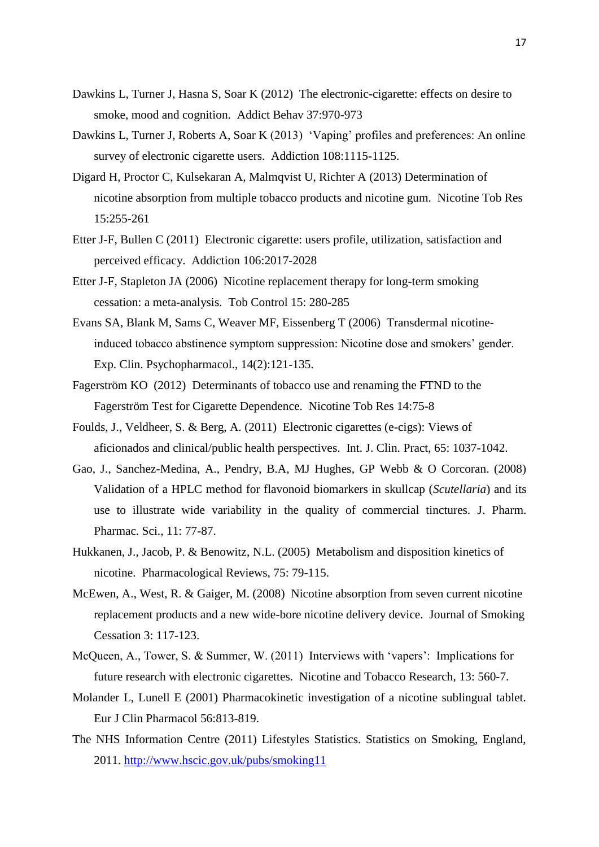- Dawkins L, Turner J, Hasna S, Soar K (2012) The electronic-cigarette: effects on desire to smoke, mood and cognition. Addict Behav 37:970-973
- Dawkins L, Turner J, Roberts A, Soar K (2013) 'Vaping' profiles and preferences: An online survey of electronic cigarette users. Addiction 108:1115-1125.
- Digard H, Proctor C, Kulsekaran A, Malmqvist U, Richter A (2013) Determination of nicotine absorption from multiple tobacco products and nicotine gum. Nicotine Tob Res 15:255-261
- Etter J-F, Bullen C (2011) Electronic cigarette: users profile, utilization, satisfaction and perceived efficacy. Addiction 106:2017-2028
- Etter J-F, Stapleton JA (2006) Nicotine replacement therapy for long-term smoking cessation: a meta-analysis. Tob Control 15: 280-285
- Evans SA, Blank M, Sams C, Weaver MF, Eissenberg T (2006) Transdermal nicotineinduced tobacco abstinence symptom suppression: Nicotine dose and smokers' gender. Exp. Clin. Psychopharmacol., 14(2):121-135.
- Fagerström KO (2012) Determinants of tobacco use and renaming the FTND to the Fagerström Test for Cigarette Dependence. Nicotine Tob Res 14:75-8
- Foulds, J., Veldheer, S. & Berg, A. (2011) Electronic cigarettes (e-cigs): Views of aficionados and clinical/public health perspectives. Int. J. Clin. Pract, 65: 1037-1042.
- Gao, J., Sanchez-Medina, A., Pendry, B.A, MJ Hughes, GP Webb & O Corcoran. (2008) Validation of a HPLC method for flavonoid biomarkers in skullcap (*Scutellaria*) and its use to illustrate wide variability in the quality of commercial tinctures. J. Pharm. Pharmac. Sci., 11: 77-87.
- Hukkanen, J., Jacob, P. & Benowitz, N.L. (2005) Metabolism and disposition kinetics of nicotine. Pharmacological Reviews, 75: 79-115.
- McEwen, A., West, R. & Gaiger, M. (2008) Nicotine absorption from seven current nicotine replacement products and a new wide-bore nicotine delivery device. Journal of Smoking Cessation 3: 117-123.
- McQueen, A., Tower, S. & Summer, W. (2011) Interviews with 'vapers': Implications for future research with electronic cigarettes. Nicotine and Tobacco Research*,* 13: 560-7.
- Molander L, Lunell E (2001) Pharmacokinetic investigation of a nicotine sublingual tablet. Eur J Clin Pharmacol 56:813-819.
- The NHS Information Centre (2011) Lifestyles Statistics. Statistics on Smoking, England, 2011.<http://www.hscic.gov.uk/pubs/smoking11>